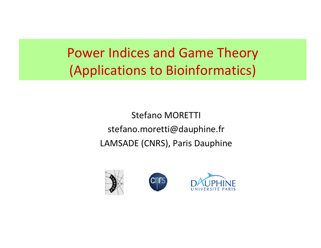Power Indices and Game Theory (Applications to Bioinformatics)

> Stefano MORETTI stefano.moretti@dauphine.fr LAMSADE (CNRS), Paris Dauphine

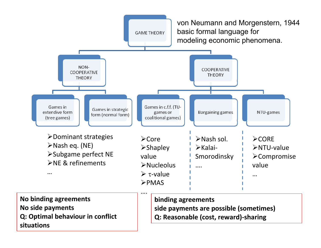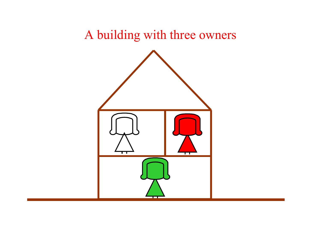### A building with three owners

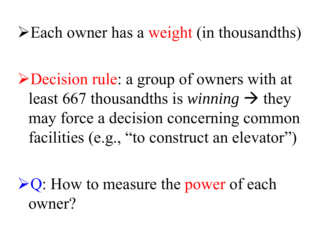$\blacktriangleright$  Each owner has a weight (in thousandths)

¾Decision rule: a group of owners with at least 667 thousandths is *winning*  $\rightarrow$  they may force a decision concerning common facilities (e.g., "to construct an elevator")

 $\triangleright$ Q: How to measure the power of each owner?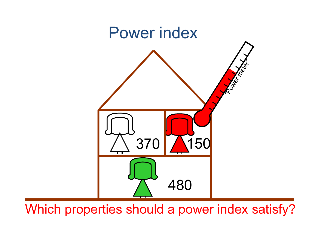

Which properties should a power index satisfy?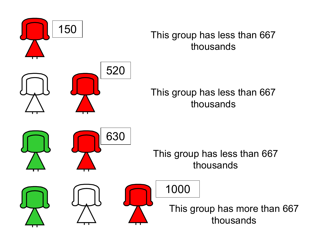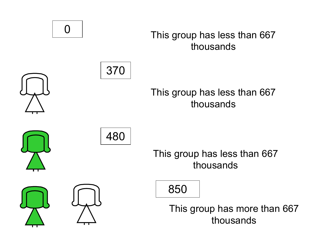0

#### This group has less than 667 thousands



### This group has less than 667 thousands





This group has less than 667 thousands

850

This group has more than 667 thousands

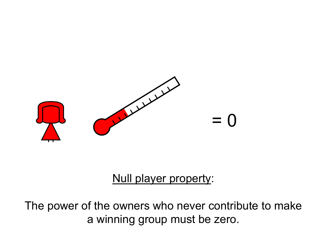

### Null player property:

The power of the owners who never contribute to make a winning group must be zero.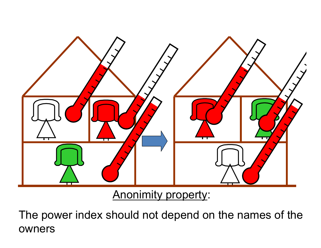

Anonimity property:

The power index should not depend on the names of the owners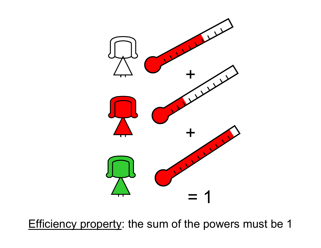

Efficiency property: the sum of the powers must be 1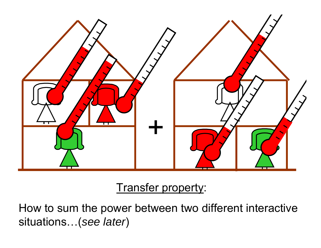

### Transfer property:

How to sum the power between two different interactive situations…(*see later*)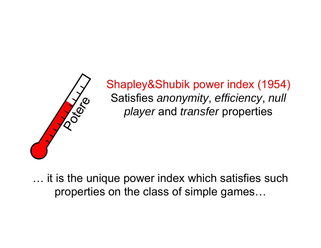

Shapley&Shubik power index (1954) Satisfies *anonymity*, *efficiency*, *null player* and *transfer* properties

… it is the unique power index which satisfies such properties on the class of simple games…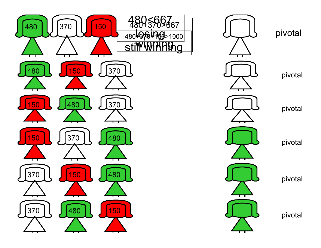



pivotal

pivotal

pivotal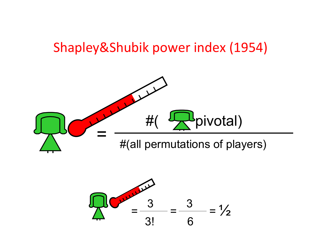## Shapley&Shubik power index (1954)



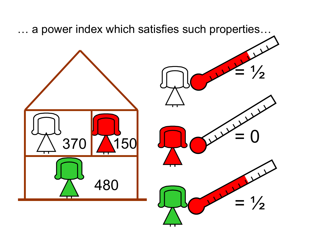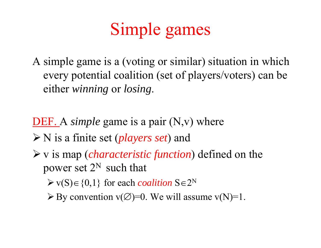# Simple games

A simple game is a (voting or similar) situation in which every potential coalition (set of players/voters) can be either *winning* or *losing*.

DEF. A *simple* game is a pair (N,v) where

- ¾ N is a finite set (*players set*) and
- ¾ v is map (*characteristic function*) defined on the power set  $2^N$  such that
	- $\triangleright$  v(S) $\in$  {0,1} for each *coalition* S $\in$ 2<sup>N</sup>
	- $\triangleright$  By convention v( $\emptyset$ )=0. We will assume v(N)=1.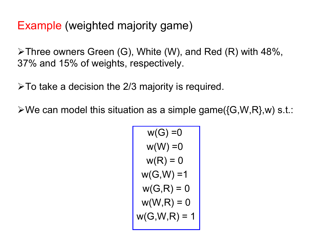### Example (weighted majority game)

¾Three owners Green (G), White (W), and Red (R) with 48%, 37% and 15% of weights, respectively.

 $\triangleright$  To take a decision the 2/3 majority is required.

 $\forall$ We can model this situation as a simple game({G,W,R},w) s.t.:

$$
w(G) = 0
$$
  
\n
$$
w(W) = 0
$$
  
\n
$$
w(R) = 0
$$
  
\n
$$
w(G, W) = 1
$$
  
\n
$$
w(G, R) = 0
$$
  
\n
$$
w(W, R) = 0
$$
  
\n
$$
w(G, W, R) = 1
$$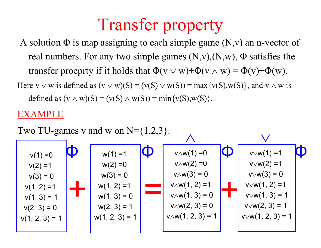## Transfer property

A solution  $\Phi$  is map assigning to each simple game  $(N, v)$  an n-vector of real numbers. For any two simple games  $(N, v), (N, w), \Phi$  satisfies the transfer proeprty if it holds that  $\Phi(v \vee w) + \Phi(v \wedge w) = \Phi(v) + \Phi(w)$ .

Here  $v \vee w$  is defined as  $(v \vee w)(S) = (v(S) \vee w(S)) = max\{v(S), w(S)\}\)$ , and  $v \wedge w$  is defined as  $(v \wedge w)(S) = (v(S) \wedge w(S)) = min\{v(S), w(S)\},\$ 

#### EXAMPLE

Two TU-games v and w on  $N = \{1,2,3\}$ .

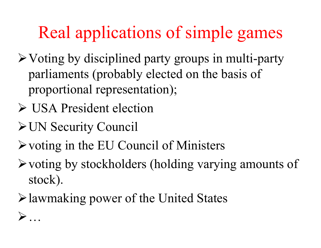# Real applications of simple games

- $\triangleright$  Voting by disciplined party groups in multi-party parliaments (probably elected on the basis of proportional representation);
- ¾ USA President election
- ¾UN Security Council

¾

…

- $\triangleright$  voting in the EU Council of Ministers
- $\triangleright$  voting by stockholders (holding varying amounts of stock).
- ¾lawmaking power of the United States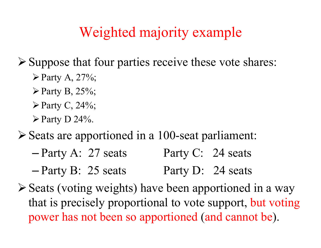## Weighted majority example

 $\triangleright$  Suppose that four parties receive these vote shares:

- $\triangleright$  Party A, 27%;
- $\triangleright$  Party B, 25%;
- $\triangleright$  Party C, 24%;
- $\triangleright$  Party D 24%.
- ¾Seats are apportioned in a 100-seat parliament:
	- –- Party A: 27 seats Party C: 24 seats
	- –- Party B: 25 seats Party D: 24 seats
- ¾Seats (voting weights) have been apportioned in a way that is precisely proportional to vote support, but voting power has not been so apportioned (and cannot be).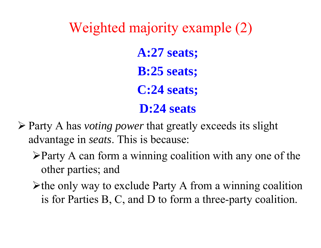Weighted majority example (2) **A:27 seats; B:25 seats; C:24 seats; D:24 seats**

- ¾ Party A has *voting power* that greatly exceeds its slight advantage in *seats*. This is because:
	- $\triangleright$  Party A can form a winning coalition with any one of the other parties; and
	- $\triangleright$  the only way to exclude Party A from a winning coalition is for Parties B, C, and D to form a three-party coalition.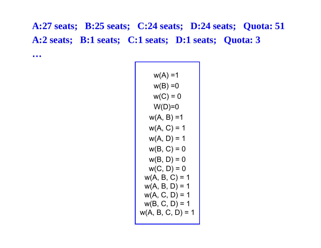**A:27 seats; B:25 seats; C:24 seats; D:24 seats; Quota: 51 A:2 seats; B:1 seats; C:1 seats; D:1 seats; Quota: 3**

**…**

| $w(A) = 1$          |
|---------------------|
| $w(B) = 0$          |
| $w(C) = 0$          |
| $W(D)=0$            |
| $w(A, B) = 1$       |
| $w(A, C) = 1$       |
| $w(A, D) = 1$       |
| $w(B, C) = 0$       |
| $w(B, D) = 0$       |
| $w(C, D) = 0$       |
| $w(A, B, C) = 1$    |
| $w(A, B, D) = 1$    |
| $w(A, C, D) = 1$    |
| $w(B, C, D) = 1$    |
| $w(A, B, C, D) = 1$ |
|                     |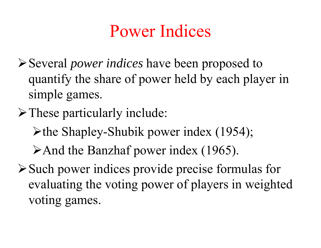## Power Indices

- ¾Several *power indices* have been proposed to quantify the share of power held by each player in simple games.
- $\triangleright$  These particularly include:
	- ¾the Shapley-Shubik power index (1954);
	- ¾And the Banzhaf power index (1965).
- ¾Such power indices provide precise formulas for evaluating the voting power of players in weighted voting games.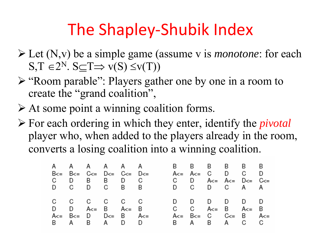## The Shapley‐Shubik Index

- ¾ Let (N,v) be a simple game (assume v is *monotone*: for each  $S,T \in 2^N$ .  $S \subset T \Rightarrow v(S) \leq v(T)$
- ¾ "Room parable": Players gather one by one in a room to create the "grand coalition",
- $\triangleright$  At some point a winning coalition forms.
- ¾ For each ordering in which they enter, identify the *pivotal* player who, when added to the players already in the room, converts a losing coalition into a winning coalition.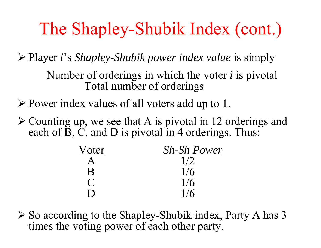## The Shapley-Shubik Index (cont.)

¾ Player *i*'s *Shapley-Shubik power index value* is simply

Number of orderings in which the voter *i* is pivotal Total number of orderings

¾ Power index values of all voters add up to 1.

 $\triangleright$  Counting up, we see that A is pivotal in 12 orderings and each of  $\tilde{B}$ ,  $\tilde{C}$ , and  $D$  is pivotal in 4 orderings. Thus:

| Voter          | <b>Sh-Sh Power</b> |
|----------------|--------------------|
|                | 1/2                |
| B              | 1/6                |
|                | 1/6                |
| $\blacksquare$ | 1/6                |

¾ So according to the Shapley-Shubik index, Party A has 3 times the voting power of each other party.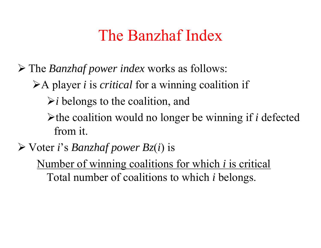## The Banzhaf Index

¾ The *Banzhaf power index* works as follows:

¾A player *i* is *critical* for a winning coalition if

 $\triangleright$ *i* belongs to the coalition, and

¾the coalition would no longer be winning if *i* defected from it.

¾ Voter *i*'s *Banzhaf power B z* ( *i*) is

Number of winning coalitions for which *i* is critical Total number of coalitions to which *i* belongs.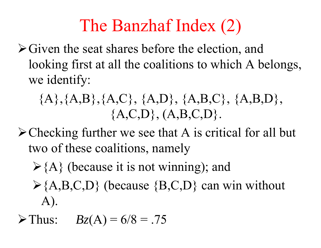# The Banzhaf Index (2)

 $\triangleright$  Given the seat shares before the election, and looking first at all the coalitions to which A belongs, we identify:

$$
{A}, {A}, {B}, {A}, {C}, {A}, {D}, {A}, {B}, {C}, {A}, {B}, {D}, {A}, {C}, {D}, {A}, {B}, {C}, {D}.
$$

- $\triangle$  Checking further we see that A is critical for all but two of these coalitions, namely
	- $\triangleright$  {A} (because it is not winning); and
	- $\{A,B,C,D\}$  (because  $\{B,C,D\}$  can win without A).
- $\triangleright$  Thus:  $B_z(A) = 6/8 = .75$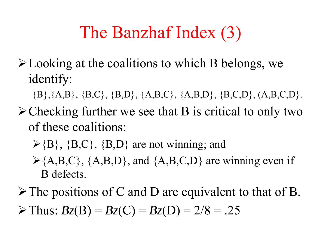## The Banzhaf Index (3)

- $\blacktriangleright$  Looking at the coalitions to which B belongs, we identify:
	- ${B}, {A,B}, {B,C}, {B,D}, {A,B,C}, {A,B,D}, {B,C,D}, {A,B,C,D}.$
- $\triangleright$  Checking further we see that B is critical to only two of these coalitions:
	- $\triangleright$ {B}, {B,C}, {B,D} are not winning; and
	- $\geq$  {A,B,C}, {A,B,D}, and {A,B,C,D} are winning even if B defects.
- $\triangleright$  The positions of C and D are equivalent to that of B.  $\triangleright$  Thus:  $B_z(B) = B_z(C) = B_z(D) = 2/8 = .25$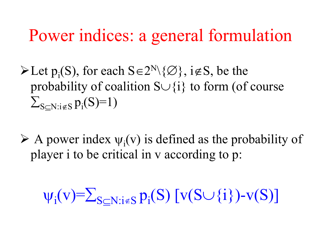## Power indices: a general formulation

 $\blacktriangleright$  Let  $p_i(S)$ , for each  $S \in 2^N \setminus \{ \emptyset \}$ , i $\notin S$ , be the probability of coalition  $S \cup \{i\}$  to form (of course  $\sum_{\mathrm{S} \subseteq \mathrm{N}: i \not\in \mathrm{S}} \mathrm{p}_{\mathrm{i}}(\mathrm{S})\!\!=\!\!1)$ 

 $\triangleright$  A power index  $\psi_i(v)$  is defined as the probability of player i to be critical in v according to p:

 $\psi_i(v) = \sum_{S \subseteq N : i \notin S} p_i(S) \left[ v(S \cup \{i\}) - v(S) \right]$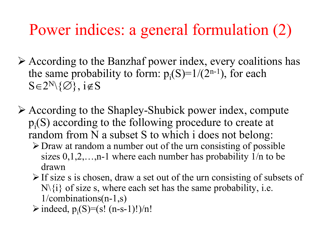## Power indices: a general formulation (2)

- ¾ According to the Banzhaf power index, every coalitions has the same probability to form:  $p_i(S)=1/(2^{n-1})$ , for each  $S \in 2^N \setminus \{\emptyset\}, i \notin S$
- ¾ According to the Shapley-Shubick power index, compute  $p_i(S)$  according to the following procedure to create at random from N a subset S to which i does not belong:
	- $\triangleright$  Draw at random a number out of the urn consisting of possible sizes  $0,1,2,...,n-1$  where each number has probability  $1/n$  to be drawn
	- $\triangleright$  If size s is chosen, draw a set out of the urn consisting of subsets of  $N\{i\}$  of size s, where each set has the same probability, i.e. 1/combinations(n-1,s)
	- $\triangleright$  indeed, p<sub>i</sub>(S)=(s! (n-s-1)!)/n!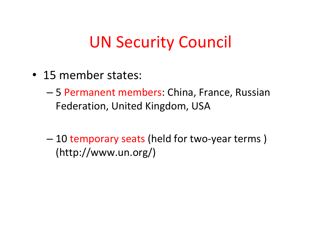## UN Security Council

- 15 member states:
	- – 5 Permanent members: China, France, Russian Federation, United Kingdom, USA
	- – 10 temporary seats (held for two‐year terms ) (http://www.un.org/)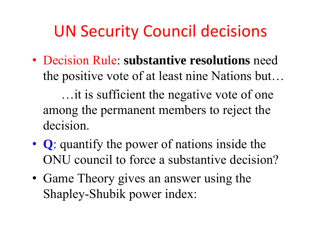## UN Security Council decisions

• Decision Rule: **substantive resolutions** need the positive vote of at least nine Nations but…

…it is sufficient the negative vote of one among the permanent members to reject the decision.

- **Q**: quantify the power of nations inside the ONU council to force a substantive decision?
- Game Theory gives an answer using the Shapley-Shubik power index: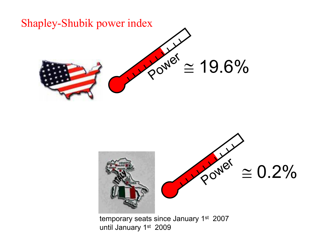

until January 1st 2009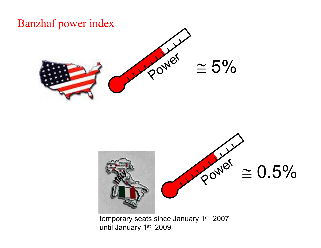### Banzhaf power index





temporary seats since January 1<sup>st</sup> 2007 until January 1st 2009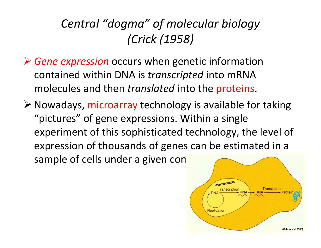## *Central "dogma" of molecular biology (Crick (1958)*

- ¾ *Gene expression* occurs when genetic information contained within DNA is *transcripted* into mRNA molecules and then *translated* into the proteins.
- ¾ Nowadays, microarray technology is available for taking "pictures" of gene expressions. Within <sup>a</sup> single experiment of this sophisticated technology, the level of expression of thousands of genes can be estimated in <sup>a</sup> sample of cells under a given con

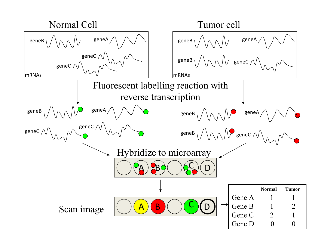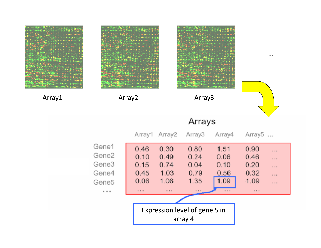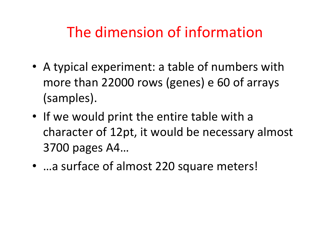## The dimension of information

- A typical experiment: <sup>a</sup> table of numbers with more than 22000 rows (genes) <sup>e</sup> 60 of arrays (samples).
- If we would print the entire table with <sup>a</sup> character of 12pt, it would be necessary almost 3700 pages A4…
- …a surface of almost 220 square meters!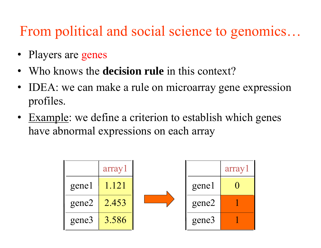## From political and social science to genomics…

- •Players are genes
- Who knows the **decision rule** in this context?
- • IDEA: we can make a rule on microarray gene expression profiles.
- Example: we define a criterion to establish which genes have abnormal expressions on each array

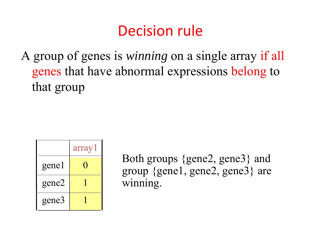## Decision rule

A group of genes is *winning* on a single array if all genes that have abnormal expressions belong to that group



Both groups {gene2, gene3} and group {gene1, gene2, gene3} are winning.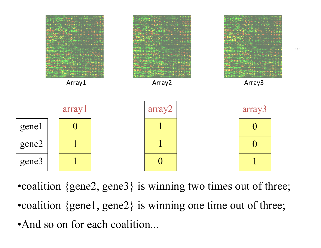

•coalition {gene2, gene3} is winning two times out of three; •coalition {gene1, gene2} is winning one time out of three; •And so on for each coalition...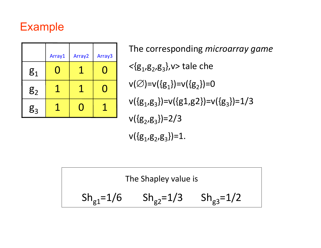### Example

|                | Array1 | Array <sub>2</sub> | Array <sub>3</sub> |
|----------------|--------|--------------------|--------------------|
| g <sub>1</sub> |        |                    |                    |
| g <sub>2</sub> |        |                    |                    |
| g <sub>3</sub> |        |                    |                    |

The corresponding *microarray game <sup>&</sup>lt;*{g1,g2,g3},v> tale che  $v(\emptyset) = v({g_1}) = v({g_2}) = 0$  $v({g_1, g_3})=v({g_1, g_2})=v({g_3})=1/3$  $v({g_2, g_3})=2/3$  $v({g_1, g_2, g_3})=1.$ 

The Shapley value is  $Sh_{g1}=1/6$   $Sh_{g2}=1/3$   $Sh_{g3}=1/2$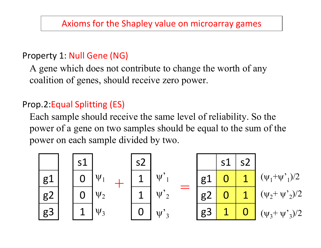#### Property 1: Null Gene (NG)

A gene which does not contribute to change the worth of any coalition of genes, should receive zero power.

#### Prop.2:Equal Splitting (ES)

Each sample should receive the same level of reliability. So the power of a gene on two samples should be equal to the sum of the power on each sample divided by two.

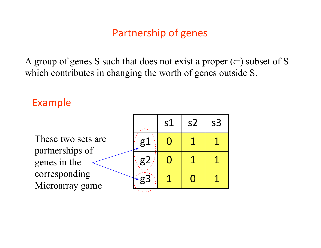### Partnership of genes

A group of genes S such that does not exist a proper  $(\subset)$  subset of S which contributes in changing the worth of genes outside S.

#### Example

These two sets are partnerships of genes in the corresponding Microarray game

|                | s1                       | s <sub>2</sub> | s <sub>3</sub> |
|----------------|--------------------------|----------------|----------------|
| $\mathrm{g}$ . |                          |                |                |
| g <sub>2</sub> | $\overline{\phantom{a}}$ |                |                |
| g3             |                          |                |                |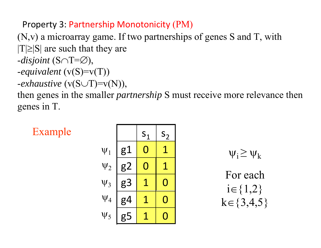#### Property 3: Partnership Monotonicity (PM)

(N,v) a microarray game. If two partnerships of genes S and T, with  $|T| \geq |S|$  are such that they are

- -*disjoint* (S∩T=∅),
- -*equivalent* (v(S)=v(T))
- -*exhaustive* (v(S∪T)=v(N)),

then genes in the smaller *partnership* S must receive more relevance then genes in T.

Example

| $\psi_1$ | $S_1$ | $S_2$ |     |
|----------|-------|-------|-----|
| $\psi_1$ | $g1$  | $0$   | $1$ |
| $\psi_2$ | $g2$  | $0$   | $1$ |
| $\psi_3$ | $g3$  | $1$   | $0$ |
| $\psi_4$ | $g4$  | $1$   | $0$ |
| $\psi_5$ | $g5$  | $1$   | $0$ |

 $\Psi_i \geq \Psi_k$ 

For eachi∈{1,2}  $k \in \{3,4,5\}$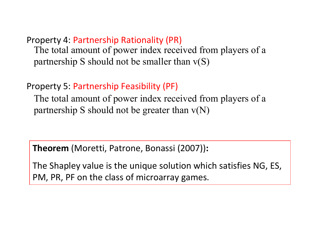Property 4: Partnership Rationality (PR) The total amount of power index received from players of a partnership S should not be smaller than  $v(S)$ 

#### Property 5: Partnership Feasibility (PF)

The total amount of power index received from players of a partnership S should not be greater than  $v(N)$ 

**Theorem** (Moretti, Patrone, Bonassi (2007))**:**

The Shapley value is the unique solution which satisfies NG, ES, PM, PR, PF on the class of microarray games.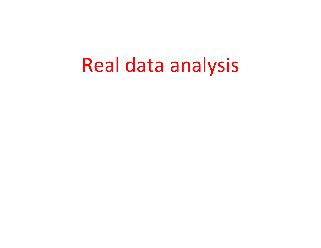# Real data analysis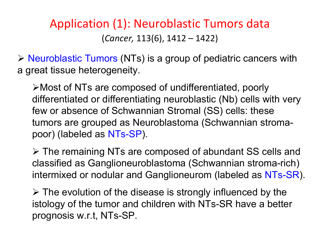### Application (1): Neuroblastic Tumors data (*Cancer,* 113(6), 1412 – 1422)

¾ Neuroblastic Tumors (NTs) is a group of pediatric cancers with a great tissue heterogeneity.

¾Most of NTs are composed of undifferentiated, poorly differentiated or differentiating neuroblastic (Nb) cells with very few or absence of Schwannian Stromal (SS) cells: these tumors are grouped as Neuroblastoma (Schwannian stromapoor) (labeled as NTs-SP).

¾ The remaining NTs are composed of abundant SS cells and classified as Ganglioneuroblastoma (Schwannian stroma-rich) intermixed or nodular and Ganglioneurom (labeled as NTs-SR).

 $\triangleright$  The evolution of the disease is strongly influenced by the istology of the tumor and children with NTs-SR have a better prognosis w.r.t, NTs-SP.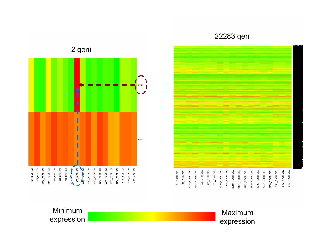#### 22283 geni





#### Minimum expression

#### Maximum expression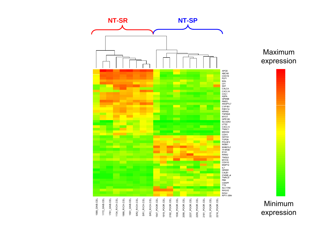



Minimum expression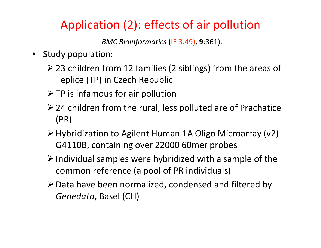### Application (2): effects of air pollution

*BMC Bioinformatics* (IF 3.49), **9**:361).

- $\bullet$  Study population:
	- ¾23 children from 12 families (2 siblings) from the areas of Teplice (TP) in Czech Republic
	- $\triangleright$  TP is infamous for air pollution
	- $\triangleright$  24 children from the rural, less polluted are of Prachatice (PR)
	- ¾Hybridization to Agilent Human 1A Oligo Microarray (v2) G4110B, containing over 22000 60mer probes
	- $\triangleright$  Individual samples were hybridized with a sample of the common reference (a pool of PR individuals)
	- ¾Data have been normalized, condensed and filtered by *Genedata*, Basel (CH)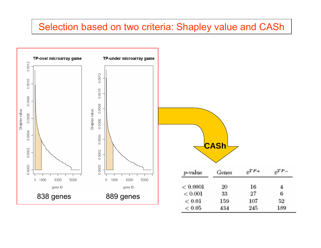#### Selection based on two criteria: Shapley value and CASh